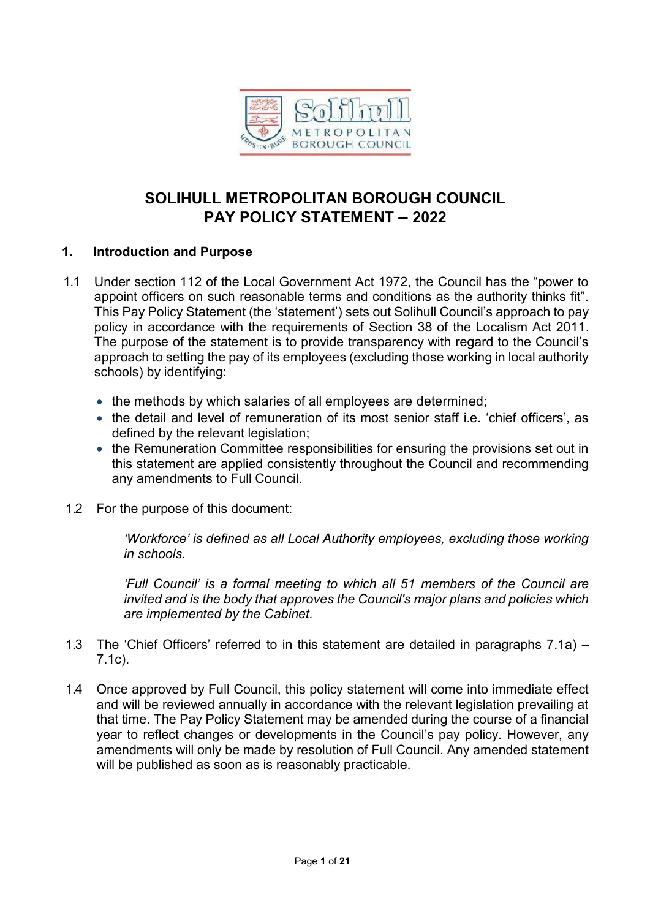

# **SOLIHULL METROPOLITAN BOROUGH COUNCIL PAY POLICY STATEMENT – 2022**

## **1. Introduction and Purpose**

- 1.1 Under section 112 of the Local Government Act 1972, the Council has the "power to appoint officers on such reasonable terms and conditions as the authority thinks fit". This Pay Policy Statement (the 'statement') sets out Solihull Council's approach to pay policy in accordance with the requirements of Section 38 of the Localism Act 2011. The purpose of the statement is to provide transparency with regard to the Council's approach to setting the pay of its employees (excluding those working in local authority schools) by identifying:
	- the methods by which salaries of all employees are determined;
	- the detail and level of remuneration of its most senior staff i.e. 'chief officers', as defined by the relevant legislation;
	- the Remuneration Committee responsibilities for ensuring the provisions set out in this statement are applied consistently throughout the Council and recommending any amendments to Full Council.
- 1.2 For the purpose of this document:

*'Workforce' is defined as all Local Authority employees, excluding those working in schools.*

*'Full Council' is a formal meeting to which all 51 members of the Council are invited and is the body that approves the Council's major plans and policies which are implemented by the Cabinet.*

- 1.3 The 'Chief Officers' referred to in this statement are detailed in paragraphs 7.1a) 7.1c).
- 1.4 Once approved by Full Council, this policy statement will come into immediate effect and will be reviewed annually in accordance with the relevant legislation prevailing at that time. The Pay Policy Statement may be amended during the course of a financial year to reflect changes or developments in the Council's pay policy. However, any amendments will only be made by resolution of Full Council. Any amended statement will be published as soon as is reasonably practicable.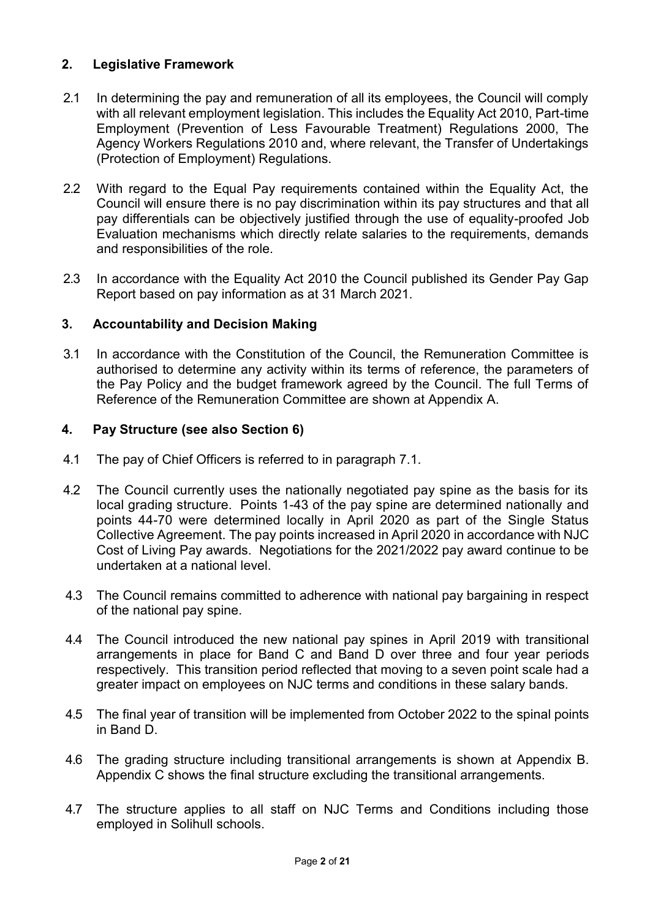# **2. Legislative Framework**

- 2.1 In determining the pay and remuneration of all its employees, the Council will comply with all relevant employment legislation. This includes the Equality Act 2010, Part-time Employment (Prevention of Less Favourable Treatment) Regulations 2000, The Agency Workers Regulations 2010 and, where relevant, the Transfer of Undertakings (Protection of Employment) Regulations.
- 2.2 With regard to the Equal Pay requirements contained within the Equality Act, the Council will ensure there is no pay discrimination within its pay structures and that all pay differentials can be objectively justified through the use of equality-proofed Job Evaluation mechanisms which directly relate salaries to the requirements, demands and responsibilities of the role.
- 2.3 In accordance with the Equality Act 2010 the Council published its Gender Pay Gap Report based on pay information as at 31 March 2021.

# **3. Accountability and Decision Making**

3.1 In accordance with the Constitution of the Council, the Remuneration Committee is authorised to determine any activity within its terms of reference, the parameters of the Pay Policy and the budget framework agreed by the Council. The full Terms of Reference of the Remuneration Committee are shown at Appendix A.

# **4. Pay Structure (see also Section 6)**

- 4.1 The pay of Chief Officers is referred to in paragraph 7.1.
- 4.2 The Council currently uses the nationally negotiated pay spine as the basis for its local grading structure. Points 1-43 of the pay spine are determined nationally and points 44-70 were determined locally in April 2020 as part of the Single Status Collective Agreement. The pay points increased in April 2020 in accordance with NJC Cost of Living Pay awards. Negotiations for the 2021/2022 pay award continue to be undertaken at a national level.
- 4.3 The Council remains committed to adherence with national pay bargaining in respect of the national pay spine.
- 4.4 The Council introduced the new national pay spines in April 2019 with transitional arrangements in place for Band C and Band D over three and four year periods respectively. This transition period reflected that moving to a seven point scale had a greater impact on employees on NJC terms and conditions in these salary bands.
- 4.5 The final year of transition will be implemented from October 2022 to the spinal points in Band D.
- 4.6 The grading structure including transitional arrangements is shown at Appendix B. Appendix C shows the final structure excluding the transitional arrangements.
- 4.7 The structure applies to all staff on NJC Terms and Conditions including those employed in Solihull schools.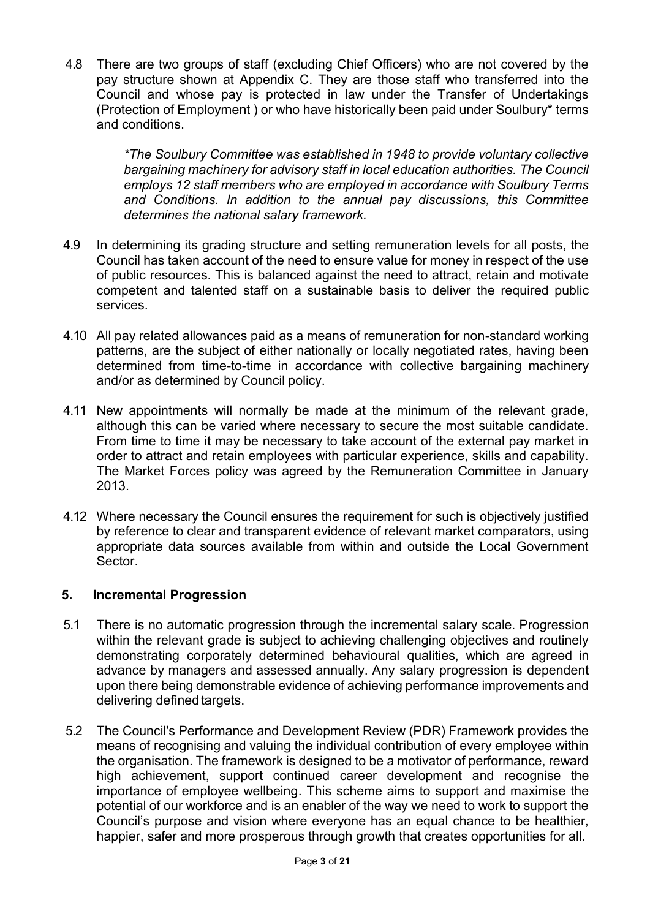4.8 There are two groups of staff (excluding Chief Officers) who are not covered by the pay structure shown at Appendix C. They are those staff who transferred into the Council and whose pay is protected in law under the Transfer of Undertakings (Protection of Employment ) or who have historically been paid under Soulbury\* terms and conditions.

> *\*The Soulbury Committee was established in 1948 to provide voluntary collective bargaining machinery for advisory staff in local education authorities. The Council employs 12 staff members who are employed in accordance with Soulbury Terms and Conditions. In addition to the annual pay discussions, this Committee determines the national salary framework.*

- 4.9 In determining its grading structure and setting remuneration levels for all posts, the Council has taken account of the need to ensure value for money in respect of the use of public resources. This is balanced against the need to attract, retain and motivate competent and talented staff on a sustainable basis to deliver the required public services.
- 4.10 All pay related allowances paid as a means of remuneration for non-standard working patterns, are the subject of either nationally or locally negotiated rates, having been determined from time-to-time in accordance with collective bargaining machinery and/or as determined by Council policy.
- 4.11 New appointments will normally be made at the minimum of the relevant grade, although this can be varied where necessary to secure the most suitable candidate. From time to time it may be necessary to take account of the external pay market in order to attract and retain employees with particular experience, skills and capability. The Market Forces policy was agreed by the Remuneration Committee in January 2013.
- 4.12 Where necessary the Council ensures the requirement for such is objectively justified by reference to clear and transparent evidence of relevant market comparators, using appropriate data sources available from within and outside the Local Government Sector.

### **5. Incremental Progression**

- 5.1 There is no automatic progression through the incremental salary scale. Progression within the relevant grade is subject to achieving challenging objectives and routinely demonstrating corporately determined behavioural qualities, which are agreed in advance by managers and assessed annually. Any salary progression is dependent upon there being demonstrable evidence of achieving performance improvements and delivering defined targets.
- 5.2 The Council's Performance and Development Review (PDR) Framework provides the means of recognising and valuing the individual contribution of every employee within the organisation. The framework is designed to be a motivator of performance, reward high achievement, support continued career development and recognise the importance of employee wellbeing. This scheme aims to support and maximise the potential of our workforce and is an enabler of the way we need to work to support the Council's purpose and vision where everyone has an equal chance to be healthier, happier, safer and more prosperous through growth that creates opportunities for all.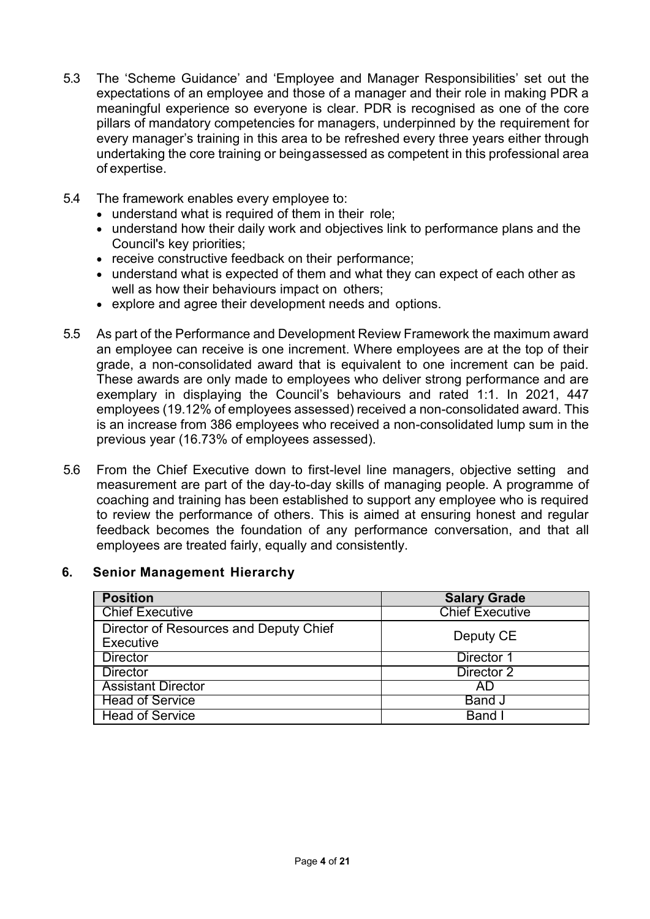- 5.3 The 'Scheme Guidance' and 'Employee and Manager Responsibilities' set out the expectations of an employee and those of a manager and their role in making PDR a meaningful experience so everyone is clear. PDR is recognised as one of the core pillars of mandatory competencies for managers, underpinned by the requirement for every manager's training in this area to be refreshed every three years either through undertaking the core training or beingassessed as competent in this professional area of expertise.
- 5.4 The framework enables every employee to:
	- understand what is required of them in their role;
	- understand how their daily work and objectives link to performance plans and the Council's key priorities;
	- receive constructive feedback on their performance;
	- understand what is expected of them and what they can expect of each other as well as how their behaviours impact on others;
	- explore and agree their development needs and options.
- 5.5 As part of the Performance and Development Review Framework the maximum award an employee can receive is one increment. Where employees are at the top of their grade, a non-consolidated award that is equivalent to one increment can be paid. These awards are only made to employees who deliver strong performance and are exemplary in displaying the Council's behaviours and rated 1:1. In 2021, 447 employees (19.12% of employees assessed) received a non-consolidated award. This is an increase from 386 employees who received a non-consolidated lump sum in the previous year (16.73% of employees assessed).
- 5.6 From the Chief Executive down to first-level line managers, objective setting and measurement are part of the day-to-day skills of managing people. A programme of coaching and training has been established to support any employee who is required to review the performance of others. This is aimed at ensuring honest and regular feedback becomes the foundation of any performance conversation, and that all employees are treated fairly, equally and consistently.

### **6. Senior Management Hierarchy**

| <b>Position</b>                                     | <b>Salary Grade</b>    |
|-----------------------------------------------------|------------------------|
| <b>Chief Executive</b>                              | <b>Chief Executive</b> |
| Director of Resources and Deputy Chief<br>Executive | Deputy CE              |
| <b>Director</b>                                     | Director 1             |
| <b>Director</b>                                     | Director 2             |
| <b>Assistant Director</b>                           | AD                     |
| <b>Head of Service</b>                              | <b>Band J</b>          |
| <b>Head of Service</b>                              | Band                   |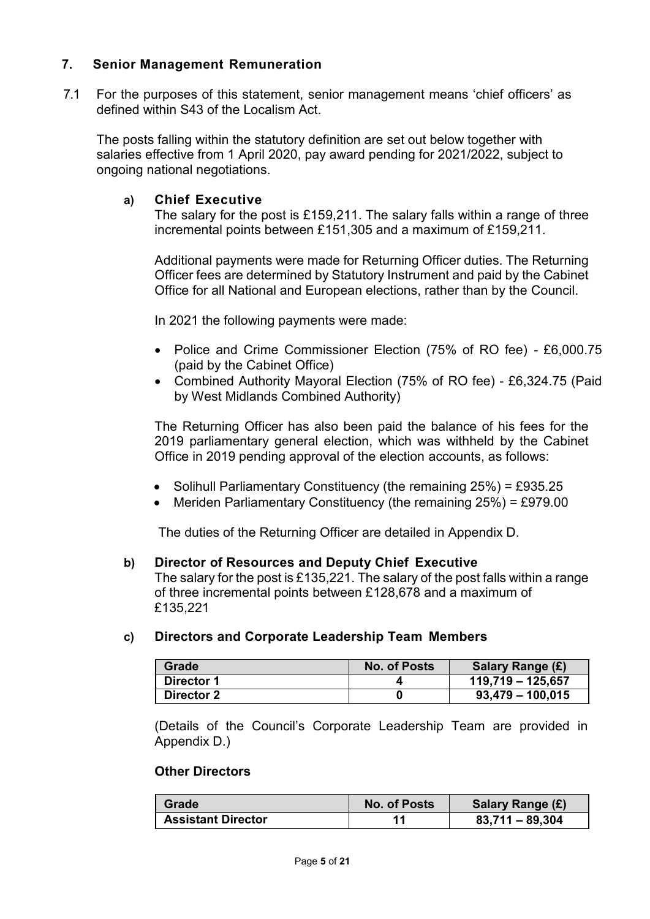## **7. Senior Management Remuneration**

7.1 For the purposes of this statement, senior management means 'chief officers' as defined within S43 of the Localism Act.

The posts falling within the statutory definition are set out below together with salaries effective from 1 April 2020, pay award pending for 2021/2022, subject to ongoing national negotiations.

#### **a) Chief Executive**

The salary for the post is £159,211. The salary falls within a range of three incremental points between £151,305 and a maximum of £159,211.

Additional payments were made for Returning Officer duties. The Returning Officer fees are determined by Statutory Instrument and paid by the Cabinet Office for all National and European elections, rather than by the Council.

In 2021 the following payments were made:

- Police and Crime Commissioner Election (75% of RO fee) £6,000.75 (paid by the Cabinet Office)
- Combined Authority Mayoral Election (75% of RO fee) £6,324.75 (Paid by West Midlands Combined Authority)

The Returning Officer has also been paid the balance of his fees for the 2019 parliamentary general election, which was withheld by the Cabinet Office in 2019 pending approval of the election accounts, as follows:

- Solihull Parliamentary Constituency (the remaining  $25\%$ ) = £935.25
- Meriden Parliamentary Constituency (the remaining  $25\%$ ) = £979.00

The duties of the Returning Officer are detailed in Appendix D.

#### **b) Director of Resources and Deputy Chief Executive**

The salary for the post is £135,221. The salary of the post falls within a range of three incremental points between £128,678 and a maximum of £135,221

### **c) Directors and Corporate Leadership Team Members**

| Grade             | <b>No. of Posts</b> | Salary Range (£)    |
|-------------------|---------------------|---------------------|
| <b>Director 1</b> |                     | $119,719 - 125,657$ |
| <b>Director 2</b> |                     | $93,479 - 100,015$  |

(Details of the Council's Corporate Leadership Team are provided in Appendix D.)

## **Other Directors**

| Grade                     | No. of Posts | Salary Range (£)  |
|---------------------------|--------------|-------------------|
| <b>Assistant Director</b> |              | $83,711 - 89,304$ |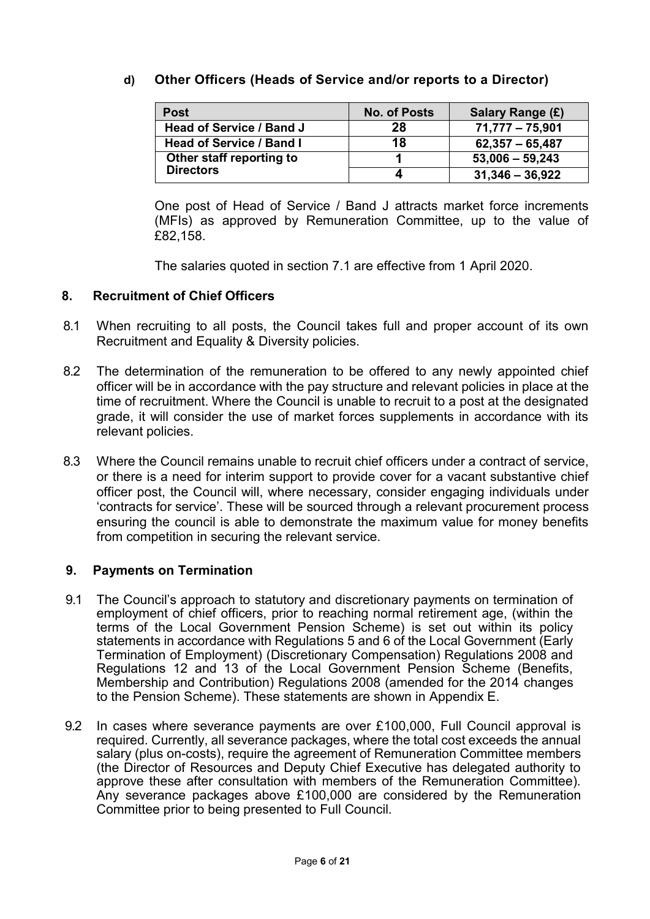# **d) Other Officers (Heads of Service and/or reports to a Director)**

| Post                            | <b>No. of Posts</b> | Salary Range (£)  |
|---------------------------------|---------------------|-------------------|
| <b>Head of Service / Band J</b> | 28                  | $71,777 - 75,901$ |
| <b>Head of Service / Band I</b> | 18                  | $62,357 - 65,487$ |
| Other staff reporting to        |                     | $53,006 - 59,243$ |
| <b>Directors</b>                |                     | $31,346 - 36,922$ |

One post of Head of Service / Band J attracts market force increments (MFIs) as approved by Remuneration Committee, up to the value of £82,158.

The salaries quoted in section 7.1 are effective from 1 April 2020.

## **8. Recruitment of Chief Officers**

- 8.1 When recruiting to all posts, the Council takes full and proper account of its own Recruitment and Equality & Diversity policies.
- 8.2 The determination of the remuneration to be offered to any newly appointed chief officer will be in accordance with the pay structure and relevant policies in place at the time of recruitment. Where the Council is unable to recruit to a post at the designated grade, it will consider the use of market forces supplements in accordance with its relevant policies.
- 8.3 Where the Council remains unable to recruit chief officers under a contract of service, or there is a need for interim support to provide cover for a vacant substantive chief officer post, the Council will, where necessary, consider engaging individuals under 'contracts for service'. These will be sourced through a relevant procurement process ensuring the council is able to demonstrate the maximum value for money benefits from competition in securing the relevant service.

# **9. Payments on Termination**

- 9.1 The Council's approach to statutory and discretionary payments on termination of employment of chief officers, prior to reaching normal retirement age, (within the terms of the Local Government Pension Scheme) is set out within its policy statements in accordance with Regulations 5 and 6 of the Local Government (Early Termination of Employment) (Discretionary Compensation) Regulations 2008 and Regulations 12 and 13 of the Local Government Pension Scheme (Benefits, Membership and Contribution) Regulations 2008 (amended for the 2014 changes to the Pension Scheme). These statements are shown in Appendix E.
- 9.2 In cases where severance payments are over £100,000, Full Council approval is required. Currently, all severance packages, where the total cost exceeds the annual salary (plus on-costs), require the agreement of Remuneration Committee members (the Director of Resources and Deputy Chief Executive has delegated authority to approve these after consultation with members of the Remuneration Committee). Any severance packages above £100,000 are considered by the Remuneration Committee prior to being presented to Full Council.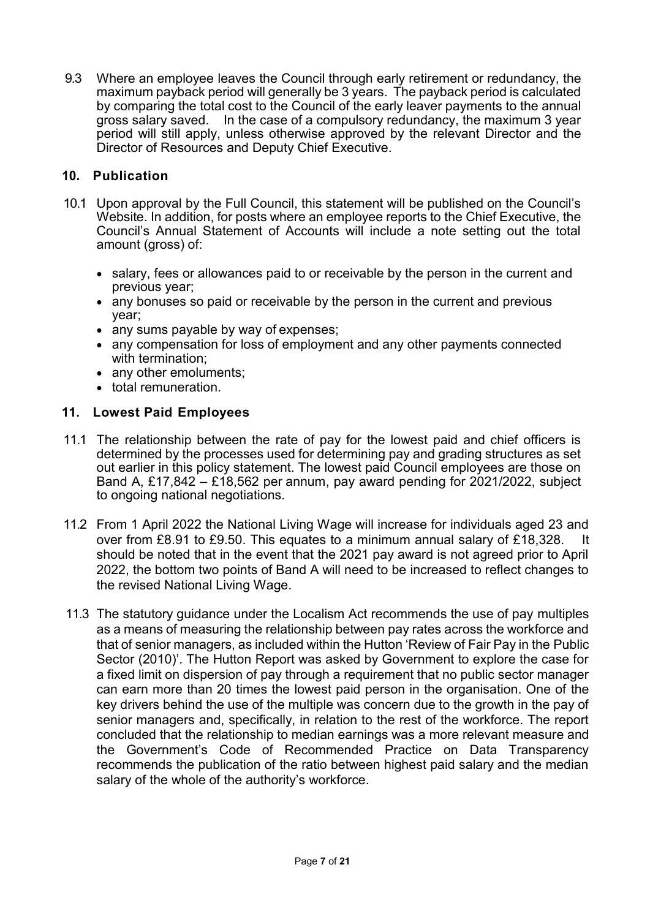9.3 Where an employee leaves the Council through early retirement or redundancy, the maximum payback period will generally be 3 years. The payback period is calculated by comparing the total cost to the Council of the early leaver payments to the annual gross salary saved. In the case of a compulsory redundancy, the maximum 3 year period will still apply, unless otherwise approved by the relevant Director and the Director of Resources and Deputy Chief Executive.

## **10. Publication**

- 10.1 Upon approval by the Full Council, this statement will be published on the Council's Website. In addition, for posts where an employee reports to the Chief Executive, the Council's Annual Statement of Accounts will include a note setting out the total amount (gross) of:
	- salary, fees or allowances paid to or receivable by the person in the current and previous year;
	- any bonuses so paid or receivable by the person in the current and previous year;
	- any sums payable by way of expenses;
	- any compensation for loss of employment and any other payments connected with termination;
	- any other emoluments;
	- total remuneration.

### **11. Lowest Paid Employees**

- 11.1 The relationship between the rate of pay for the lowest paid and chief officers is determined by the processes used for determining pay and grading structures as set out earlier in this policy statement. The lowest paid Council employees are those on Band A, £17,842 – £18,562 per annum, pay award pending for 2021/2022, subject to ongoing national negotiations.
- 11.2 From 1 April 2022 the National Living Wage will increase for individuals aged 23 and over from £8.91 to £9.50. This equates to a minimum annual salary of £18,328. It should be noted that in the event that the 2021 pay award is not agreed prior to April 2022, the bottom two points of Band A will need to be increased to reflect changes to the revised National Living Wage.
- 11.3 The statutory guidance under the Localism Act recommends the use of pay multiples as a means of measuring the relationship between pay rates across the workforce and that of senior managers, as included within the Hutton 'Review of Fair Pay in the Public Sector (2010)'. The Hutton Report was asked by Government to explore the case for a fixed limit on dispersion of pay through a requirement that no public sector manager can earn more than 20 times the lowest paid person in the organisation. One of the key drivers behind the use of the multiple was concern due to the growth in the pay of senior managers and, specifically, in relation to the rest of the workforce. The report concluded that the relationship to median earnings was a more relevant measure and the Government's Code of Recommended Practice on Data Transparency recommends the publication of the ratio between highest paid salary and the median salary of the whole of the authority's workforce.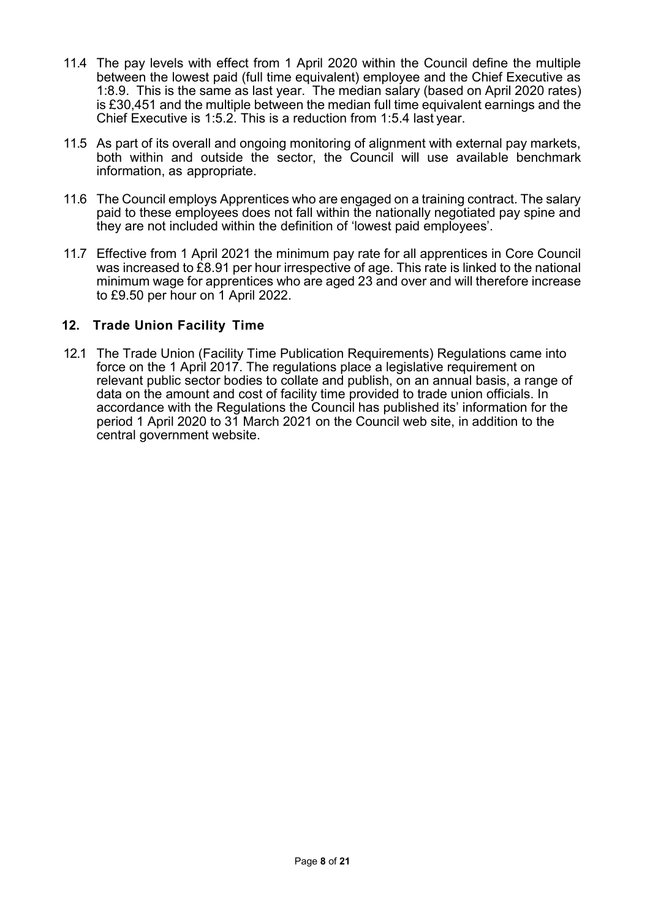- 11.4 The pay levels with effect from 1 April 2020 within the Council define the multiple between the lowest paid (full time equivalent) employee and the Chief Executive as 1:8.9. This is the same as last year. The median salary (based on April 2020 rates) is £30,451 and the multiple between the median full time equivalent earnings and the Chief Executive is 1:5.2. This is a reduction from 1:5.4 last year.
- 11.5 As part of its overall and ongoing monitoring of alignment with external pay markets, both within and outside the sector, the Council will use available benchmark information, as appropriate.
- 11.6 The Council employs Apprentices who are engaged on a training contract. The salary paid to these employees does not fall within the nationally negotiated pay spine and they are not included within the definition of 'lowest paid employees'.
- 11.7 Effective from 1 April 2021 the minimum pay rate for all apprentices in Core Council was increased to £8.91 per hour irrespective of age. This rate is linked to the national minimum wage for apprentices who are aged 23 and over and will therefore increase to £9.50 per hour on 1 April 2022.

## **12. Trade Union Facility Time**

12.1 The Trade Union (Facility Time Publication Requirements) Regulations came into force on the 1 April 2017. The regulations place a legislative requirement on relevant public sector bodies to collate and publish, on an annual basis, a range of data on the amount and cost of facility time provided to trade union officials. In accordance with the Regulations the Council has published its' information for the period 1 April 2020 to 31 March 2021 on the Council web site, in addition to the central government website.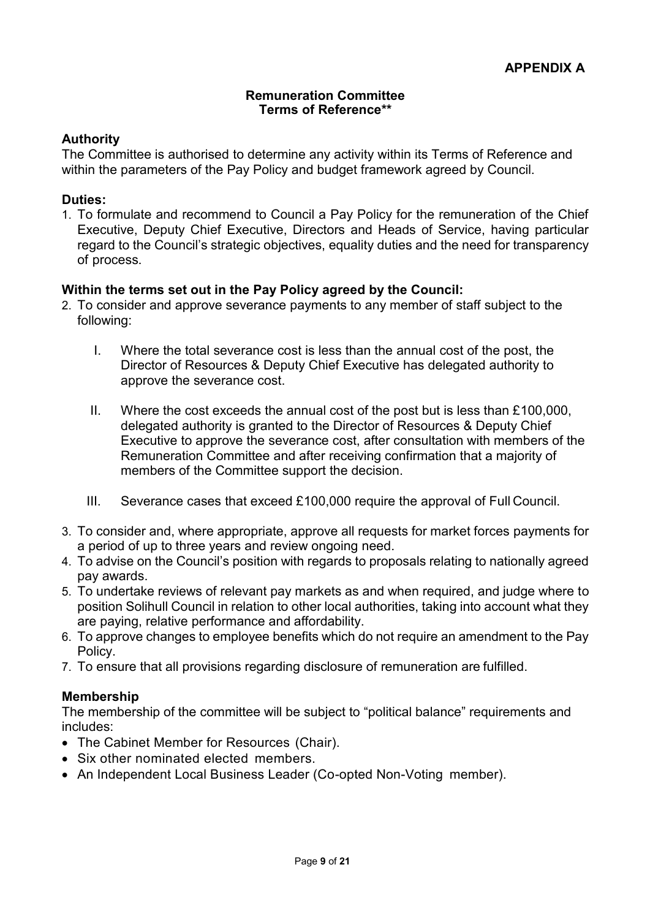#### **Remuneration Committee Terms of Reference\*\***

## **Authority**

The Committee is authorised to determine any activity within its Terms of Reference and within the parameters of the Pay Policy and budget framework agreed by Council.

### **Duties:**

1. To formulate and recommend to Council a Pay Policy for the remuneration of the Chief Executive, Deputy Chief Executive, Directors and Heads of Service, having particular regard to the Council's strategic objectives, equality duties and the need for transparency of process.

## **Within the terms set out in the Pay Policy agreed by the Council:**

- 2. To consider and approve severance payments to any member of staff subject to the following:
	- I. Where the total severance cost is less than the annual cost of the post, the Director of Resources & Deputy Chief Executive has delegated authority to approve the severance cost.
	- II. Where the cost exceeds the annual cost of the post but is less than £100,000, delegated authority is granted to the Director of Resources & Deputy Chief Executive to approve the severance cost, after consultation with members of the Remuneration Committee and after receiving confirmation that a majority of members of the Committee support the decision.
	- III. Severance cases that exceed £100,000 require the approval of Full Council.
- 3. To consider and, where appropriate, approve all requests for market forces payments for a period of up to three years and review ongoing need.
- 4. To advise on the Council's position with regards to proposals relating to nationally agreed pay awards.
- 5. To undertake reviews of relevant pay markets as and when required, and judge where to position Solihull Council in relation to other local authorities, taking into account what they are paying, relative performance and affordability.
- 6. To approve changes to employee benefits which do not require an amendment to the Pay Policy.
- 7. To ensure that all provisions regarding disclosure of remuneration are fulfilled.

# **Membership**

The membership of the committee will be subject to "political balance" requirements and includes:

- The Cabinet Member for Resources (Chair).
- Six other nominated elected members.
- An Independent Local Business Leader (Co-opted Non-Voting member).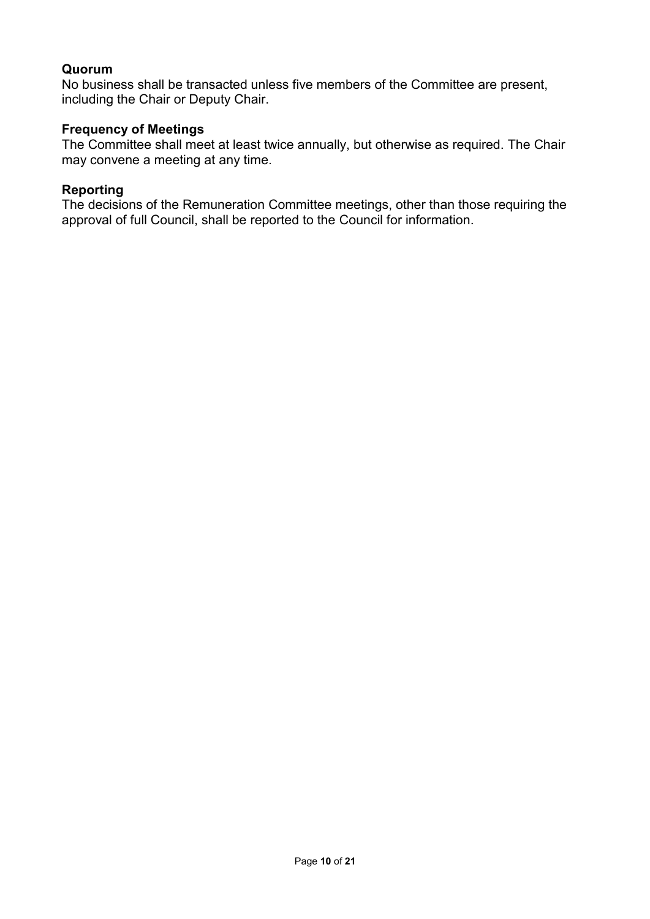## **Quorum**

No business shall be transacted unless five members of the Committee are present, including the Chair or Deputy Chair.

## **Frequency of Meetings**

The Committee shall meet at least twice annually, but otherwise as required. The Chair may convene a meeting at any time.

## **Reporting**

The decisions of the Remuneration Committee meetings, other than those requiring the approval of full Council, shall be reported to the Council for information.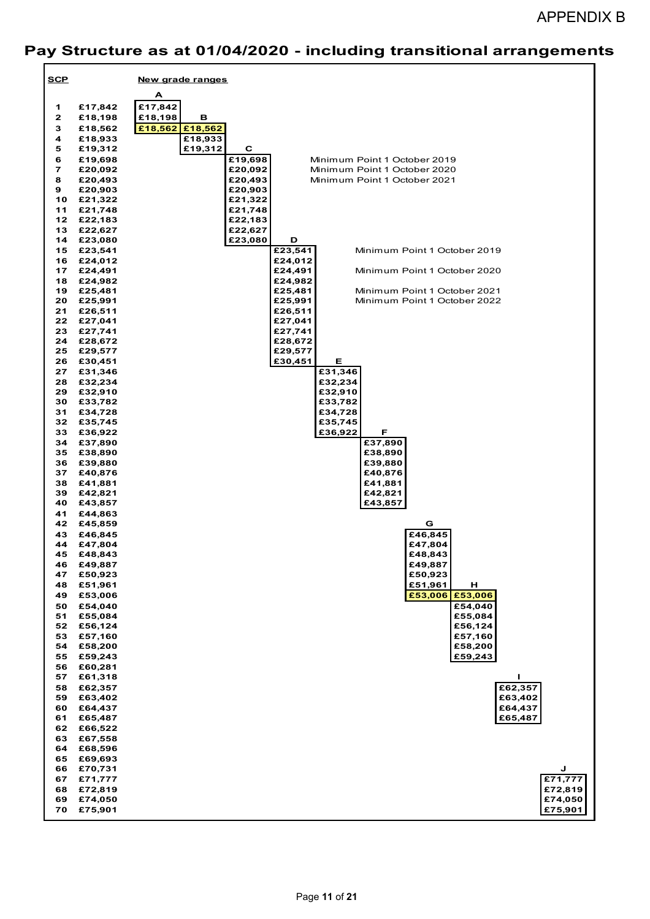# APPENDIX B

# **Pay Structure as at 01/04/2020 - including transitional arrangements**

| <b>SCP</b>      |                       | New grade ranges                                                                   |
|-----------------|-----------------------|------------------------------------------------------------------------------------|
|                 |                       | A                                                                                  |
| 1               | £17,842               | £17,842                                                                            |
| $\mathbf{z}$    | £18,198               | £18,198<br>в                                                                       |
| 3               | £18,562               | £18,562 £18,562                                                                    |
| 4               | £18,933               | £18,933                                                                            |
| 5               | £19,312               | £19,312<br>С                                                                       |
| 6<br>7          | £19,698<br>£20,092    | £19,698<br>Minimum Point 1 October 2019<br>£20,092<br>Minimum Point 1 October 2020 |
| 8               | £20,493               | £20,493<br>Minimum Point 1 October 2021                                            |
| 9               | £20,903               | £20,903                                                                            |
|                 | 10 £21,322            | £21,322                                                                            |
| 11              | £21,748               | £21,748                                                                            |
| 12 <sub>1</sub> | £22,183               | £22,183                                                                            |
| 13              | £22,627               | £22,627                                                                            |
| 14              | £23,080               | £23,080<br>D<br>£23,541                                                            |
| 16              | 15 £23,541<br>£24,012 | Minimum Point 1 October 2019<br>£24,012                                            |
|                 | 17 £24,491            | £24,491<br>Minimum Point 1 October 2020                                            |
| 18              | £24,982               | £24,982                                                                            |
|                 | 19 £25,481            | £25,481<br>Minimum Point 1 October 2021                                            |
| 20              | £25,991               | £25,991<br>Minimum Point 1 October 2022                                            |
| 21              | £26,511               | £26,511                                                                            |
| 22              | £27,041               | £27,041                                                                            |
| 23<br>24        | £27,741               | £27,741<br>£28,672                                                                 |
| 25              | £28,672<br>£29,577    | £29,577                                                                            |
| 26              | £30,451               | £30,451<br>Е                                                                       |
| 27              | £31,346               | £31,346                                                                            |
| 28              | £32,234               | £32,234                                                                            |
| 29              | £32,910               | £32,910                                                                            |
| 30              | £33,782               | £33,782                                                                            |
| 31              | £34,728               | £34,728                                                                            |
| 32<br>33        | £35,745               | £35,745<br>£36,922<br>F                                                            |
| 34              | £36,922<br>£37,890    | £37,890                                                                            |
| 35              | £38,890               | £38,890                                                                            |
| 36              | £39,880               | £39,880                                                                            |
| 37              | £40,876               | £40,876                                                                            |
| 38              | £41,881               | £41,881                                                                            |
| 39              | £42,821               | £42,821                                                                            |
| 40              | £43,857               | £43,857                                                                            |
| 41<br>42        | £44,863<br>£45,859    | G                                                                                  |
| 43              | £46,845               | $\overline{\text{£}46,845}$                                                        |
| 44              | £47,804               | £47,804                                                                            |
| 45              | £48,843               | £48,843                                                                            |
| 46              | £49,887               | £49,887                                                                            |
| 47              | £50,923               | £50,923                                                                            |
| 48              | £51,961               | £51,961<br>н                                                                       |
| 49              | £53,006               | £53,006<br>£53,006                                                                 |
| 50              | £54,040               | £54,040                                                                            |
| 51<br>52        | £55,084<br>£56,124    | £55,084<br>£56,124                                                                 |
| 53              | £57,160               | £57,160                                                                            |
| 54              | £58,200               | £58,200                                                                            |
| 55              | £59,243               | £59,243                                                                            |
| 56              | £60,281               |                                                                                    |
| 57              | £61,318               | Т.                                                                                 |
| 58              | £62,357               | £62,357                                                                            |
| 59              | £63,402               | £63,402                                                                            |
| 60              | £64,437               | £64,437                                                                            |
| 61              | £65,487<br>£66,522    | £65,487                                                                            |
| 62<br>63        | £67,558               |                                                                                    |
| 64              | £68,596               |                                                                                    |
| 65              | £69,693               |                                                                                    |
| 66              | £70,731               | J                                                                                  |
| 67              | £71,777               | £71,777                                                                            |
| 68              | £72,819               | £72,819                                                                            |
| 69              | £74,050               | £74,050                                                                            |
| 70              | £75,901               | £75,901                                                                            |
|                 |                       |                                                                                    |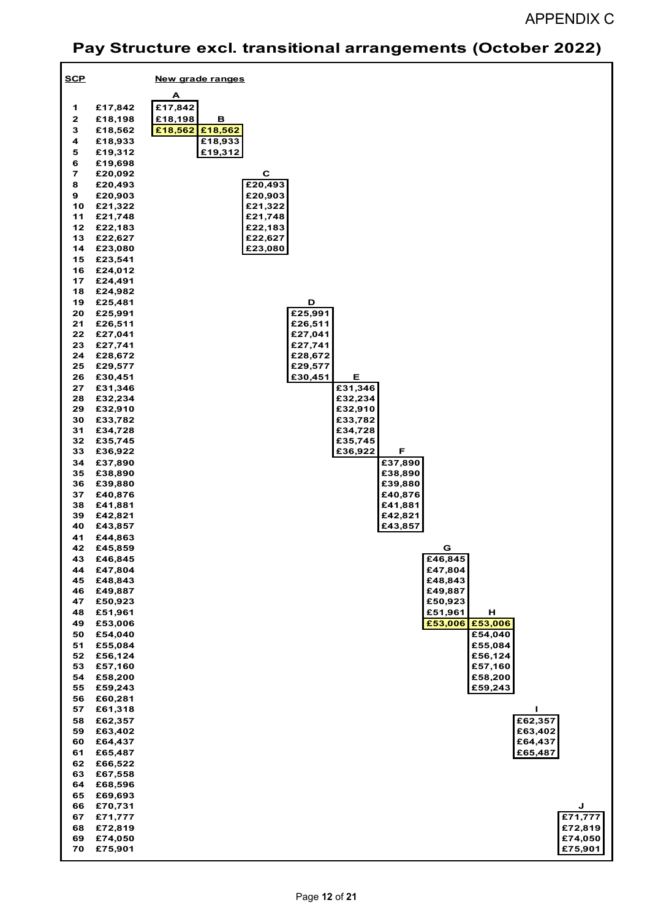# APPENDIX C

# **Pay Structure excl. transitional arrangements (October 2022)**

| <b>SCP</b>              |            | New grade ranges |
|-------------------------|------------|------------------|
|                         |            |                  |
|                         |            | A                |
| 1                       | £17,842    | £17,842          |
| $\mathbf{2}$            | £18,198    | £18,198<br>в     |
| 3                       | £18,562    | £18,562 £18,562  |
| 4                       | £18,933    | £18,933          |
| 5                       | £19,312    | £19,312          |
| 6                       | £19,698    |                  |
| $\overline{\mathbf{z}}$ | £20,092    | $\mathbf C$      |
| 8                       | £20,493    | £20,493          |
| 9                       | £20,903    | £20,903          |
| 10                      | £21,322    | £21,322          |
| 11                      | £21,748    | £21,748          |
| 12                      | £22,183    | £22,183          |
| 13                      | £22,627    | £22,627          |
| 14                      | £23,080    | £23,080          |
|                         | 15 £23,541 |                  |
| 16                      | £24,012    |                  |
| 17                      | £24,491    |                  |
|                         |            |                  |
| 18<br>19                | £24,982    | D                |
|                         | £25,481    |                  |
| 20                      | £25,991    | £25,991          |
| 21                      | £26,511    | £26,511          |
| 22                      | £27,041    | £27,041          |
| 23                      | £27,741    | £27,741          |
| 24                      | £28,672    | £28,672          |
| 25                      | £29,577    | £29,577          |
|                         | 26 £30,451 | £30,451<br>Е     |
| 27                      | £31,346    | £31,346          |
| 28                      | £32,234    | £32,234          |
| 29                      | £32,910    | £32,910          |
| 30                      | £33,782    | £33,782          |
| 31                      | £34,728    | £34,728          |
| 32                      | £35,745    | £35,745          |
| 33                      | £36,922    | £36,922<br>F     |
| 34                      | £37,890    | £37,890          |
| 35                      | £38,890    | £38,890          |
| 36                      | £39,880    | £39,880          |
| 37                      | £40,876    | £40,876          |
| 38                      | £41,881    | £41,881          |
| 39                      | £42,821    | £42,821          |
| 40                      | £43,857    | £43,857          |
| 41                      | £44,863    |                  |
| 42                      | £45,859    | G                |
| 43                      | £46,845    | £46,845          |
| 44                      | £47,804    | £47,804          |
| 45                      | £48,843    | £48,843          |
| 46                      | £49,887    | £49,887          |
| 47                      | £50,923    | £50,923          |
| 48                      | £51,961    | £51,961<br>н     |
| 49                      | £53,006    | £53,006 £53,006  |
| 50                      | £54,040    | £54,040          |
| 51                      | £55,084    | £55,084          |
| 52                      | £56,124    | £56,124          |
| 53                      | £57,160    | £57,160          |
| 54                      | £58,200    | £58,200          |
| 55                      | £59,243    | £59,243          |
| 56                      | £60,281    |                  |
| 57                      | £61,318    | I.               |
| 58                      | £62,357    | £62,357          |
| 59                      | £63,402    | £63,402          |
| 60                      | £64,437    | £64,437          |
| 61                      | £65,487    | £65,487          |
| 62                      | £66,522    |                  |
|                         |            |                  |
| 63                      | £67,558    |                  |
| 64                      | £68,596    |                  |
| 65                      | £69,693    |                  |
| 66                      | £70,731    | J                |
| 67                      | £71,777    | £71,777          |
| 68                      | £72,819    | £72,819          |
| 69                      | £74,050    | £74,050          |
| 70                      | £75,901    | £75,901          |
|                         |            |                  |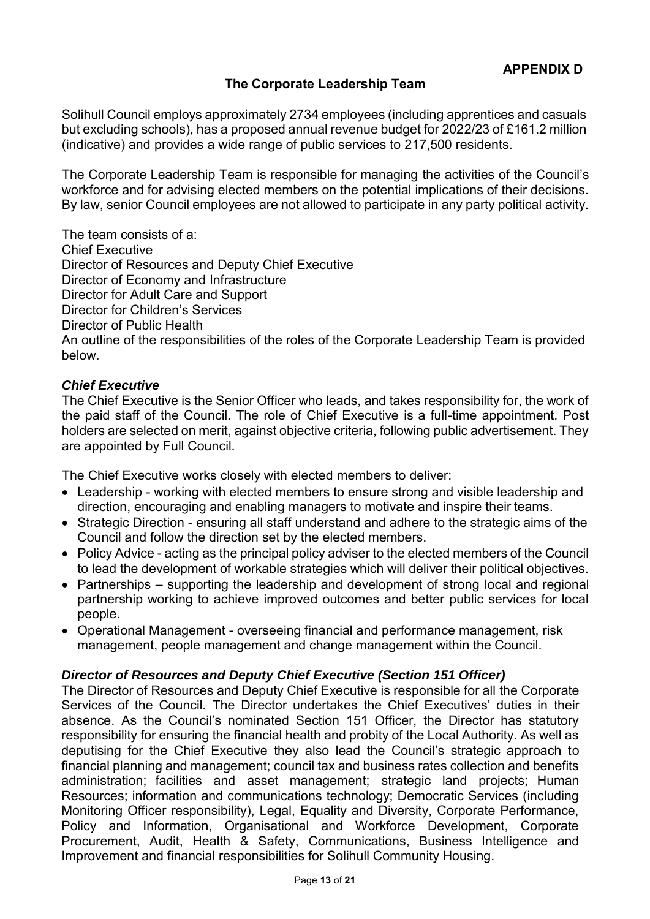# **The Corporate Leadership Team**

Solihull Council employs approximately 2734 employees (including apprentices and casuals but excluding schools), has a proposed annual revenue budget for 2022/23 of £161.2 million (indicative) and provides a wide range of public services to 217,500 residents.

The Corporate Leadership Team is responsible for managing the activities of the Council's workforce and for advising elected members on the potential implications of their decisions. By law, senior Council employees are not allowed to participate in any party political activity.

The team consists of a: Chief Executive Director of Resources and Deputy Chief Executive Director of Economy and Infrastructure Director for Adult Care and Support Director for Children's Services Director of Public Health An outline of the responsibilities of the roles of the Corporate Leadership Team is provided below.

### *Chief Executive*

The Chief Executive is the Senior Officer who leads, and takes responsibility for, the work of the paid staff of the Council. The role of Chief Executive is a full-time appointment. Post holders are selected on merit, against objective criteria, following public advertisement. They are appointed by Full Council.

The Chief Executive works closely with elected members to deliver:

- Leadership working with elected members to ensure strong and visible leadership and direction, encouraging and enabling managers to motivate and inspire their teams.
- Strategic Direction ensuring all staff understand and adhere to the strategic aims of the Council and follow the direction set by the elected members.
- Policy Advice acting as the principal policy adviser to the elected members of the Council to lead the development of workable strategies which will deliver their political objectives.
- Partnerships supporting the leadership and development of strong local and regional partnership working to achieve improved outcomes and better public services for local people.
- Operational Management overseeing financial and performance management, risk management, people management and change management within the Council.

### *Director of Resources and Deputy Chief Executive (Section 151 Officer)*

The Director of Resources and Deputy Chief Executive is responsible for all the Corporate Services of the Council. The Director undertakes the Chief Executives' duties in their absence. As the Council's nominated Section 151 Officer, the Director has statutory responsibility for ensuring the financial health and probity of the Local Authority. As well as deputising for the Chief Executive they also lead the Council's strategic approach to financial planning and management; council tax and business rates collection and benefits administration; facilities and asset management; strategic land projects; Human Resources; information and communications technology; Democratic Services (including Monitoring Officer responsibility), Legal, Equality and Diversity, Corporate Performance, Policy and Information, Organisational and Workforce Development, Corporate Procurement, Audit, Health & Safety, Communications, Business Intelligence and Improvement and financial responsibilities for Solihull Community Housing.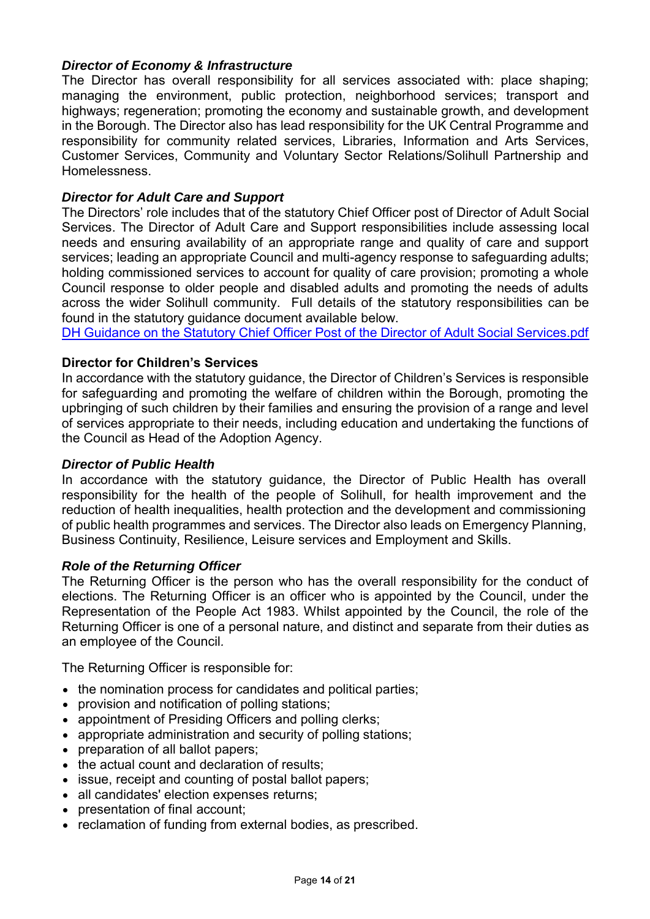### *Director of Economy & Infrastructure*

The Director has overall responsibility for all services associated with: place shaping; managing the environment, public protection, neighborhood services; transport and highways; regeneration; promoting the economy and sustainable growth, and development in the Borough. The Director also has lead responsibility for the UK Central Programme and responsibility for community related services, Libraries, Information and Arts Services, Customer Services, Community and Voluntary Sector Relations/Solihull Partnership and Homelessness.

#### *Director for Adult Care and Support*

The Directors' role includes that of the statutory Chief Officer post of Director of Adult Social Services. The Director of Adult Care and Support responsibilities include assessing local needs and ensuring availability of an appropriate range and quality of care and support services; leading an appropriate Council and multi-agency response to safeguarding adults; holding commissioned services to account for quality of care provision; promoting a whole Council response to older people and disabled adults and promoting the needs of adults across the wider Solihull community. Full details of the statutory responsibilities can be found in the statutory guidance document available below.

[DH Guidance on the Statutory Chief Officer Post of the Director of Adult Social Services.pdf](https://www.solihull.gov.uk/sites/default/files/2022-03/Guidance-Statutory-Chief-Officer-Post-Director-Adult-Social-Services.pdf)

#### **Director for Children's Services**

In accordance with the statutory guidance, the Director of Children's Services is responsible for safeguarding and promoting the welfare of children within the Borough, promoting the upbringing of such children by their families and ensuring the provision of a range and level of services appropriate to their needs, including education and undertaking the functions of the Council as Head of the Adoption Agency.

#### *Director of Public Health*

In accordance with the statutory guidance, the Director of Public Health has overall responsibility for the health of the people of Solihull, for health improvement and the reduction of health inequalities, health protection and the development and commissioning of public health programmes and services. The Director also leads on Emergency Planning, Business Continuity, Resilience, Leisure services and Employment and Skills.

#### *Role of the Returning Officer*

The Returning Officer is the person who has the overall responsibility for the conduct of elections. The Returning Officer is an officer who is appointed by the Council, under the Representation of the People Act 1983. Whilst appointed by the Council, the role of the Returning Officer is one of a personal nature, and distinct and separate from their duties as an employee of the Council*.*

The Returning Officer is responsible for:

- the nomination process for candidates and political parties;
- provision and notification of polling stations;
- appointment of Presiding Officers and polling clerks;
- appropriate administration and security of polling stations;
- preparation of all ballot papers;
- the actual count and declaration of results;
- issue, receipt and counting of postal ballot papers;
- all candidates' election expenses returns;
- presentation of final account;
- reclamation of funding from external bodies, as prescribed.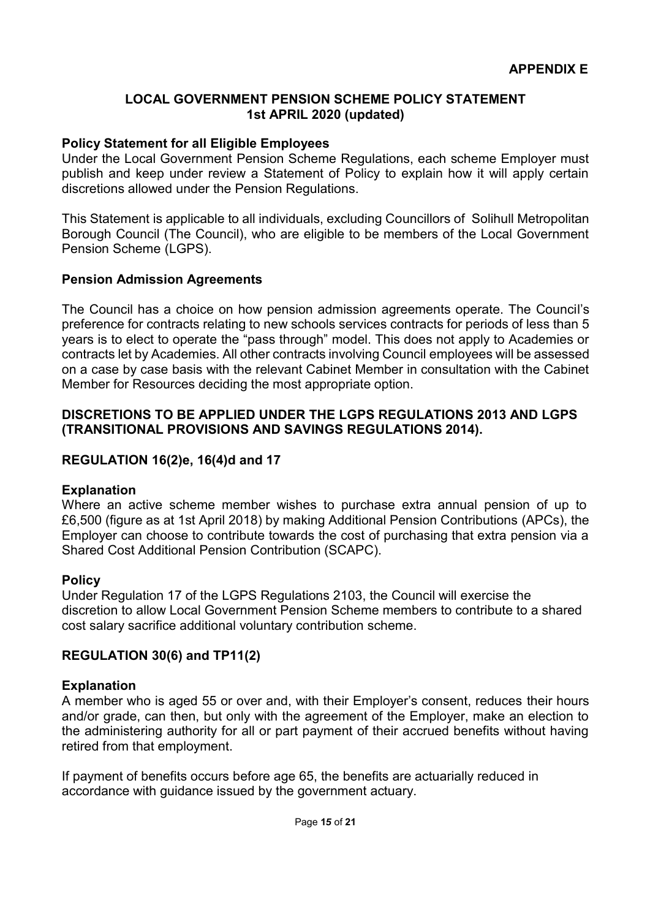## **LOCAL GOVERNMENT PENSION SCHEME POLICY STATEMENT 1st APRIL 2020 (updated)**

## **Policy Statement for all Eligible Employees**

Under the Local Government Pension Scheme Regulations, each scheme Employer must publish and keep under review a Statement of Policy to explain how it will apply certain discretions allowed under the Pension Regulations.

This Statement is applicable to all individuals, excluding Councillors of Solihull Metropolitan Borough Council (The Council), who are eligible to be members of the Local Government Pension Scheme (LGPS).

### **Pension Admission Agreements**

The Council has a choice on how pension admission agreements operate. The Council's preference for contracts relating to new schools services contracts for periods of less than 5 years is to elect to operate the "pass through" model. This does not apply to Academies or contracts let by Academies. All other contracts involving Council employees will be assessed on a case by case basis with the relevant Cabinet Member in consultation with the Cabinet Member for Resources deciding the most appropriate option.

## **DISCRETIONS TO BE APPLIED UNDER THE LGPS REGULATIONS 2013 AND LGPS (TRANSITIONAL PROVISIONS AND SAVINGS REGULATIONS 2014).**

## **REGULATION 16(2)e, 16(4)d and 17**

### **Explanation**

Where an active scheme member wishes to purchase extra annual pension of up to £6,500 (figure as at 1st April 2018) by making Additional Pension Contributions (APCs), the Employer can choose to contribute towards the cost of purchasing that extra pension via a Shared Cost Additional Pension Contribution (SCAPC).

### **Policy**

Under Regulation 17 of the LGPS Regulations 2103, the Council will exercise the discretion to allow Local Government Pension Scheme members to contribute to a shared cost salary sacrifice additional voluntary contribution scheme.

### **REGULATION 30(6) and TP11(2)**

### **Explanation**

A member who is aged 55 or over and, with their Employer's consent, reduces their hours and/or grade, can then, but only with the agreement of the Employer, make an election to the administering authority for all or part payment of their accrued benefits without having retired from that employment.

If payment of benefits occurs before age 65, the benefits are actuarially reduced in accordance with guidance issued by the government actuary.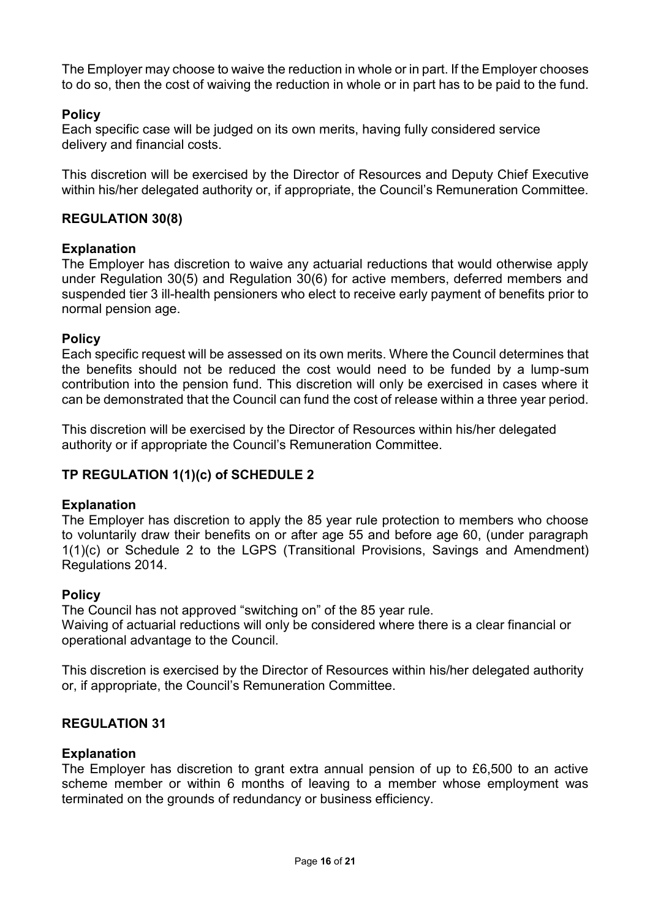The Employer may choose to waive the reduction in whole or in part. If the Employer chooses to do so, then the cost of waiving the reduction in whole or in part has to be paid to the fund.

# **Policy**

Each specific case will be judged on its own merits, having fully considered service delivery and financial costs.

This discretion will be exercised by the Director of Resources and Deputy Chief Executive within his/her delegated authority or, if appropriate, the Council's Remuneration Committee.

## **REGULATION 30(8)**

### **Explanation**

The Employer has discretion to waive any actuarial reductions that would otherwise apply under Regulation 30(5) and Regulation 30(6) for active members, deferred members and suspended tier 3 ill-health pensioners who elect to receive early payment of benefits prior to normal pension age.

## **Policy**

Each specific request will be assessed on its own merits. Where the Council determines that the benefits should not be reduced the cost would need to be funded by a lump-sum contribution into the pension fund. This discretion will only be exercised in cases where it can be demonstrated that the Council can fund the cost of release within a three year period.

This discretion will be exercised by the Director of Resources within his/her delegated authority or if appropriate the Council's Remuneration Committee.

# **TP REGULATION 1(1)(c) of SCHEDULE 2**

### **Explanation**

The Employer has discretion to apply the 85 year rule protection to members who choose to voluntarily draw their benefits on or after age 55 and before age 60, (under paragraph 1(1)(c) or Schedule 2 to the LGPS (Transitional Provisions, Savings and Amendment) Regulations 2014.

### **Policy**

The Council has not approved "switching on" of the 85 year rule. Waiving of actuarial reductions will only be considered where there is a clear financial or operational advantage to the Council.

This discretion is exercised by the Director of Resources within his/her delegated authority or, if appropriate, the Council's Remuneration Committee.

# **REGULATION 31**

### **Explanation**

The Employer has discretion to grant extra annual pension of up to £6,500 to an active scheme member or within 6 months of leaving to a member whose employment was terminated on the grounds of redundancy or business efficiency.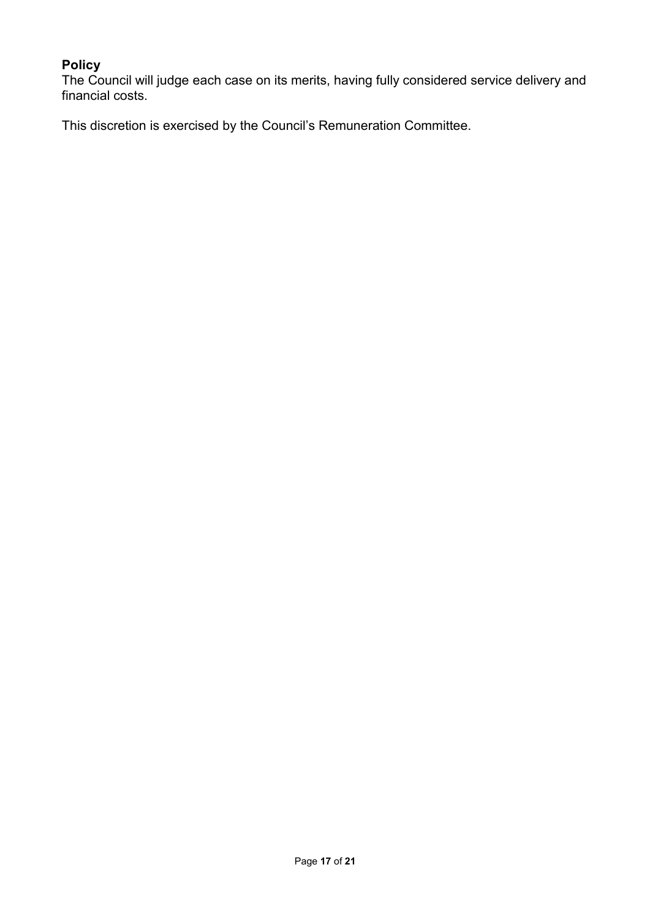# **Policy**

The Council will judge each case on its merits, having fully considered service delivery and financial costs.

This discretion is exercised by the Council's Remuneration Committee.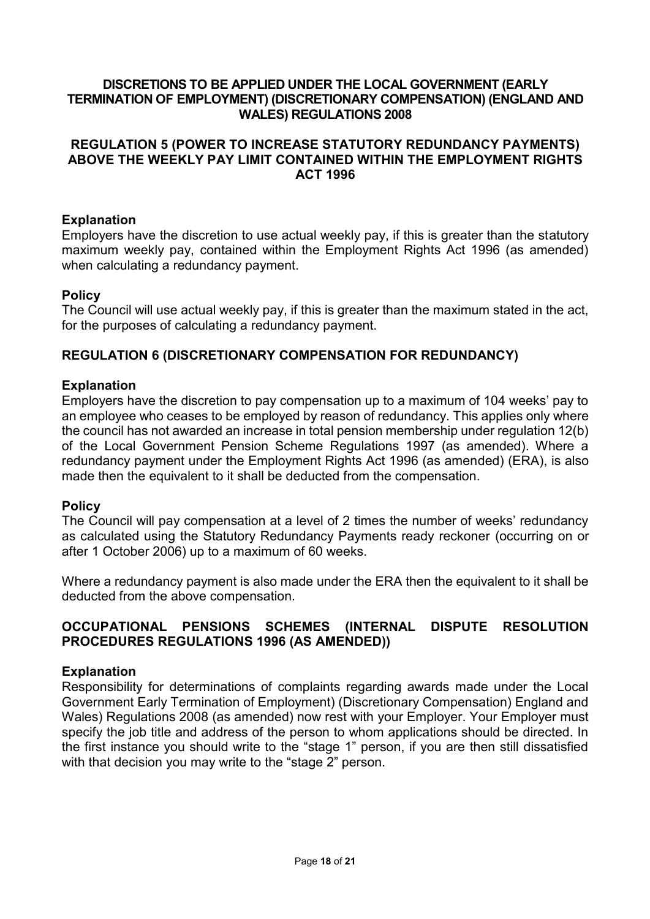## **DISCRETIONS TO BE APPLIED UNDER THE LOCAL GOVERNMENT (EARLY TERMINATION OF EMPLOYMENT) (DISCRETIONARY COMPENSATION) (ENGLAND AND WALES) REGULATIONS 2008**

## **REGULATION 5 (POWER TO INCREASE STATUTORY REDUNDANCY PAYMENTS) ABOVE THE WEEKLY PAY LIMIT CONTAINED WITHIN THE EMPLOYMENT RIGHTS ACT 1996**

## **Explanation**

Employers have the discretion to use actual weekly pay, if this is greater than the statutory maximum weekly pay, contained within the Employment Rights Act 1996 (as amended) when calculating a redundancy payment.

### **Policy**

The Council will use actual weekly pay, if this is greater than the maximum stated in the act, for the purposes of calculating a redundancy payment.

# **REGULATION 6 (DISCRETIONARY COMPENSATION FOR REDUNDANCY)**

## **Explanation**

Employers have the discretion to pay compensation up to a maximum of 104 weeks' pay to an employee who ceases to be employed by reason of redundancy. This applies only where the council has not awarded an increase in total pension membership under regulation 12(b) of the Local Government Pension Scheme Regulations 1997 (as amended). Where a redundancy payment under the Employment Rights Act 1996 (as amended) (ERA), is also made then the equivalent to it shall be deducted from the compensation.

### **Policy**

The Council will pay compensation at a level of 2 times the number of weeks' redundancy as calculated using the Statutory Redundancy Payments ready reckoner (occurring on or after 1 October 2006) up to a maximum of 60 weeks.

Where a redundancy payment is also made under the ERA then the equivalent to it shall be deducted from the above compensation.

## **OCCUPATIONAL PENSIONS SCHEMES (INTERNAL DISPUTE RESOLUTION PROCEDURES REGULATIONS 1996 (AS AMENDED))**

### **Explanation**

Responsibility for determinations of complaints regarding awards made under the Local Government Early Termination of Employment) (Discretionary Compensation) England and Wales) Regulations 2008 (as amended) now rest with your Employer. Your Employer must specify the job title and address of the person to whom applications should be directed. In the first instance you should write to the "stage 1" person, if you are then still dissatisfied with that decision you may write to the "stage 2" person.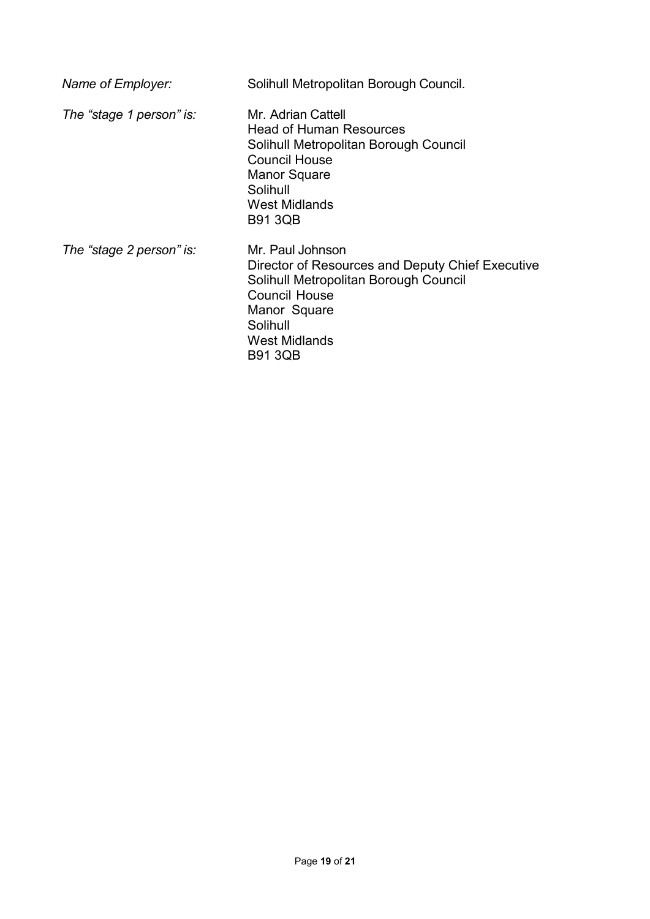| Name of Employer:        | Solihull Metropolitan Borough Council.                                                                                                                                                                      |
|--------------------------|-------------------------------------------------------------------------------------------------------------------------------------------------------------------------------------------------------------|
| The "stage 1 person" is: | Mr. Adrian Cattell<br>Head of Human Resources<br>Solihull Metropolitan Borough Council<br><b>Council House</b><br><b>Manor Square</b><br>Solihull<br><b>West Midlands</b><br><b>B91 3QB</b>                 |
| The "stage 2 person" is: | Mr. Paul Johnson<br>Director of Resources and Deputy Chief Executive<br>Solihull Metropolitan Borough Council<br><b>Council House</b><br>Manor Square<br>Solihull<br><b>West Midlands</b><br><b>B91 3QB</b> |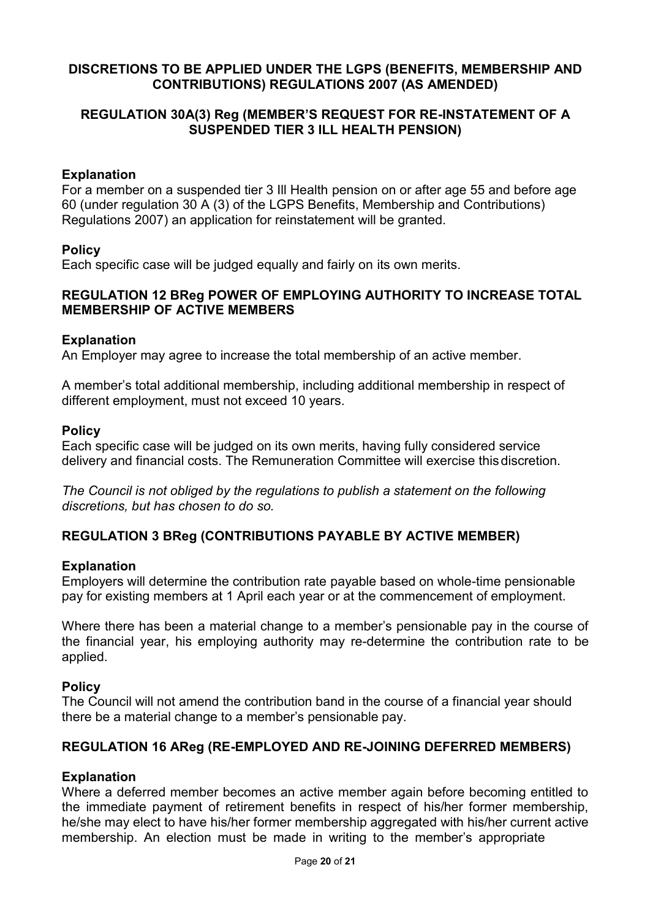## **DISCRETIONS TO BE APPLIED UNDER THE LGPS (BENEFITS, MEMBERSHIP AND CONTRIBUTIONS) REGULATIONS 2007 (AS AMENDED)**

## **REGULATION 30A(3) Reg (MEMBER'S REQUEST FOR RE-INSTATEMENT OF A SUSPENDED TIER 3 ILL HEALTH PENSION)**

## **Explanation**

For a member on a suspended tier 3 Ill Health pension on or after age 55 and before age 60 (under regulation 30 A (3) of the LGPS Benefits, Membership and Contributions) Regulations 2007) an application for reinstatement will be granted.

### **Policy**

Each specific case will be judged equally and fairly on its own merits.

### **REGULATION 12 BReg POWER OF EMPLOYING AUTHORITY TO INCREASE TOTAL MEMBERSHIP OF ACTIVE MEMBERS**

#### **Explanation**

An Employer may agree to increase the total membership of an active member.

A member's total additional membership, including additional membership in respect of different employment, must not exceed 10 years.

#### **Policy**

Each specific case will be judged on its own merits, having fully considered service delivery and financial costs. The Remuneration Committee will exercise thisdiscretion.

*The Council is not obliged by the regulations to publish a statement on the following discretions, but has chosen to do so.*

### **REGULATION 3 BReg (CONTRIBUTIONS PAYABLE BY ACTIVE MEMBER)**

### **Explanation**

Employers will determine the contribution rate payable based on whole-time pensionable pay for existing members at 1 April each year or at the commencement of employment.

Where there has been a material change to a member's pensionable pay in the course of the financial year, his employing authority may re-determine the contribution rate to be applied.

#### **Policy**

The Council will not amend the contribution band in the course of a financial year should there be a material change to a member's pensionable pay.

### **REGULATION 16 AReg (RE-EMPLOYED AND RE-JOINING DEFERRED MEMBERS)**

#### **Explanation**

Where a deferred member becomes an active member again before becoming entitled to the immediate payment of retirement benefits in respect of his/her former membership, he/she may elect to have his/her former membership aggregated with his/her current active membership. An election must be made in writing to the member's appropriate